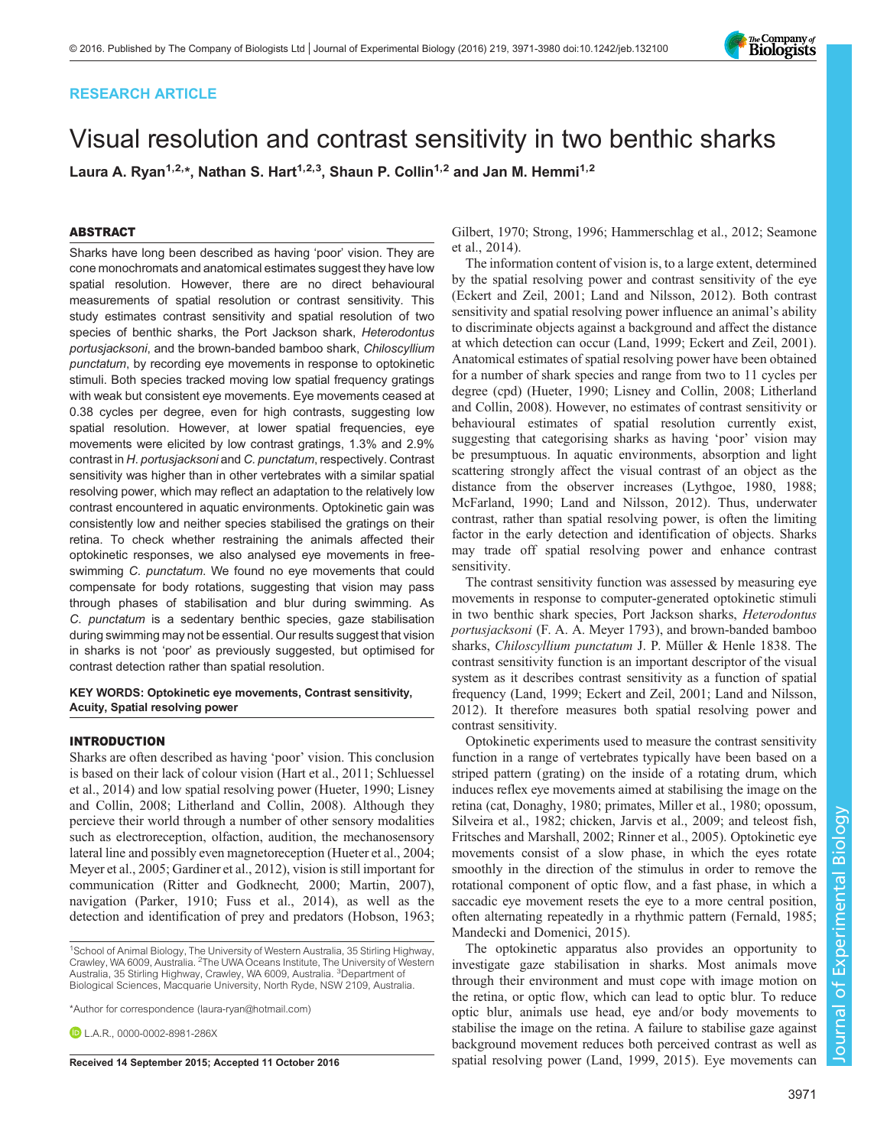# RESEARCH ARTICLE

# Visual resolution and contrast sensitivity in two benthic sharks

Laura A. Ryan<sup>1,2,\*</sup>, Nathan S. Hart<sup>1,2,3</sup>, Shaun P. Collin<sup>1,2</sup> and Jan M. Hemmi<sup>1,2</sup>

### ABSTRACT

Sharks have long been described as having 'poor' vision. They are cone monochromats and anatomical estimates suggest they have low spatial resolution. However, there are no direct behavioural measurements of spatial resolution or contrast sensitivity. This study estimates contrast sensitivity and spatial resolution of two species of benthic sharks, the Port Jackson shark, Heterodontus portusjacksoni, and the brown-banded bamboo shark, Chiloscyllium punctatum, by recording eye movements in response to optokinetic stimuli. Both species tracked moving low spatial frequency gratings with weak but consistent eye movements. Eye movements ceased at 0.38 cycles per degree, even for high contrasts, suggesting low spatial resolution. However, at lower spatial frequencies, eye movements were elicited by low contrast gratings, 1.3% and 2.9% contrast in H. portusjacksoni and C. punctatum, respectively. Contrast sensitivity was higher than in other vertebrates with a similar spatial resolving power, which may reflect an adaptation to the relatively low contrast encountered in aquatic environments. Optokinetic gain was consistently low and neither species stabilised the gratings on their retina. To check whether restraining the animals affected their optokinetic responses, we also analysed eye movements in freeswimming C. punctatum. We found no eye movements that could compensate for body rotations, suggesting that vision may pass through phases of stabilisation and blur during swimming. As C. punctatum is a sedentary benthic species, gaze stabilisation during swimming may not be essential. Our results suggest that vision in sharks is not 'poor' as previously suggested, but optimised for contrast detection rather than spatial resolution.

#### KEY WORDS: Optokinetic eye movements, Contrast sensitivity, Acuity, Spatial resolving power

## INTRODUCTION

Sharks are often described as having 'poor' vision. This conclusion is based on their lack of colour vision [\(Hart et al., 2011](#page-8-0); [Schluessel](#page-8-0) [et al., 2014\)](#page-8-0) and low spatial resolving power [\(Hueter, 1990; Lisney](#page-8-0) [and Collin, 2008](#page-8-0); [Litherland and Collin, 2008\)](#page-8-0). Although they percieve their world through a number of other sensory modalities such as electroreception, olfaction, audition, the mechanosensory lateral line and possibly even magnetoreception [\(Hueter et al., 2004](#page-8-0); [Meyer et al., 2005; Gardiner et al., 2012\)](#page-8-0), vision is still important for communication ([Ritter and Godknecht](#page-8-0), 2000; [Martin, 2007\)](#page-8-0), navigation [\(Parker, 1910; Fuss et al., 2014](#page-8-0)), as well as the detection and identification of prey and predators [\(Hobson, 1963](#page-8-0);

\*Author for correspondence [\(laura-ryan@hotmail.com\)](mailto:laura-ryan@hotmail.com)

**D**IAR [0000-0002-8981-286X](http://orcid.org/0000-0002-8981-286X)

[Gilbert, 1970;](#page-8-0) [Strong, 1996;](#page-9-0) [Hammerschlag et al., 2012](#page-8-0); [Seamone](#page-8-0) [et al., 2014\)](#page-8-0).

The information content of vision is, to a large extent, determined by the spatial resolving power and contrast sensitivity of the eye [\(Eckert and Zeil, 2001](#page-8-0); [Land and Nilsson, 2012\)](#page-8-0). Both contrast sensitivity and spatial resolving power influence an animal's ability to discriminate objects against a background and affect the distance at which detection can occur ([Land, 1999; Eckert and Zeil, 2001\)](#page-8-0). Anatomical estimates of spatial resolving power have been obtained for a number of shark species and range from two to 11 cycles per degree (cpd) [\(Hueter, 1990; Lisney and Collin, 2008; Litherland](#page-8-0) [and Collin, 2008\)](#page-8-0). However, no estimates of contrast sensitivity or behavioural estimates of spatial resolution currently exist, suggesting that categorising sharks as having 'poor' vision may be presumptuous. In aquatic environments, absorption and light scattering strongly affect the visual contrast of an object as the distance from the observer increases [\(Lythgoe, 1980, 1988](#page-8-0); [McFarland, 1990; Land and Nilsson, 2012](#page-8-0)). Thus, underwater contrast, rather than spatial resolving power, is often the limiting factor in the early detection and identification of objects. Sharks may trade off spatial resolving power and enhance contrast sensitivity.

The contrast sensitivity function was assessed by measuring eye movements in response to computer-generated optokinetic stimuli in two benthic shark species, Port Jackson sharks, Heterodontus portusjacksoni (F. A. A. Meyer 1793), and brown-banded bamboo sharks, Chiloscyllium punctatum J. P. Müller & Henle 1838. The contrast sensitivity function is an important descriptor of the visual system as it describes contrast sensitivity as a function of spatial frequency ([Land, 1999](#page-8-0); [Eckert and Zeil, 2001](#page-8-0); [Land and Nilsson,](#page-8-0) [2012\)](#page-8-0). It therefore measures both spatial resolving power and contrast sensitivity.

Optokinetic experiments used to measure the contrast sensitivity function in a range of vertebrates typically have been based on a striped pattern (grating) on the inside of a rotating drum, which induces reflex eye movements aimed at stabilising the image on the retina (cat, [Donaghy, 1980;](#page-8-0) primates, [Miller et al., 1980;](#page-8-0) opossum, [Silveira et al., 1982;](#page-9-0) chicken, [Jarvis et al., 2009](#page-8-0); and teleost fish, [Fritsches and Marshall, 2002; Rinner et al., 2005\)](#page-8-0). Optokinetic eye movements consist of a slow phase, in which the eyes rotate smoothly in the direction of the stimulus in order to remove the rotational component of optic flow, and a fast phase, in which a saccadic eye movement resets the eye to a more central position, often alternating repeatedly in a rhythmic pattern [\(Fernald, 1985](#page-8-0); [Mandecki and Domenici, 2015\)](#page-8-0).

The optokinetic apparatus also provides an opportunity to investigate gaze stabilisation in sharks. Most animals move through their environment and must cope with image motion on the retina, or optic flow, which can lead to optic blur. To reduce optic blur, animals use head, eye and/or body movements to stabilise the image on the retina. A failure to stabilise gaze against background movement reduces both perceived contrast as well as Received 14 September 2015; Accepted 11 October 2016 spatial resolving power [\(Land, 1999](#page-8-0), [2015](#page-8-0)). Eye movements can



<sup>&</sup>lt;sup>1</sup>School of Animal Biology, The University of Western Australia, 35 Stirling Highway, Crawley, WA 6009, Australia. <sup>2</sup>The UWA Oceans Institute, The University of Western Australia, 35 Stirling Highway, Crawley, WA 6009, Australia. <sup>3</sup>Department of Biological Sciences, Macquarie University, North Ryde, NSW 2109, Australia.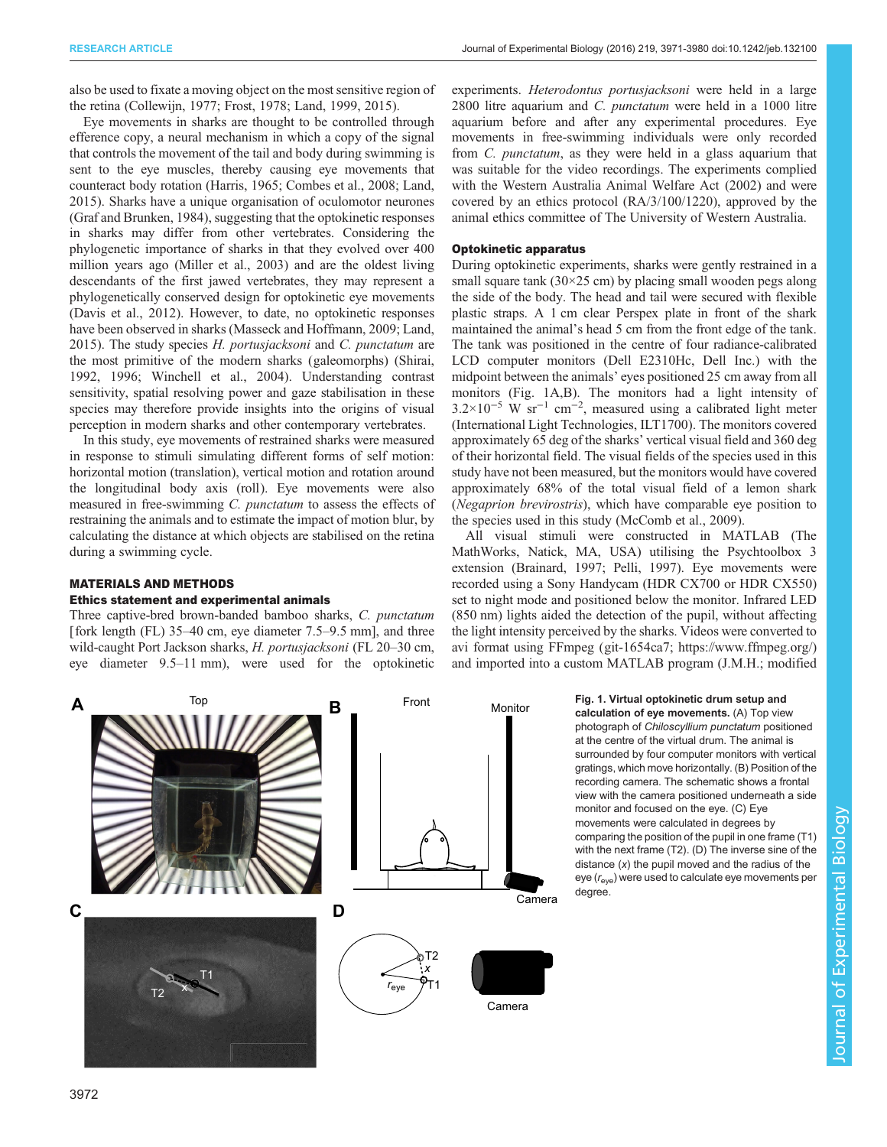<span id="page-1-0"></span>also be used to fixate a moving object on the most sensitive region of the retina [\(Collewijn, 1977;](#page-7-0) [Frost, 1978](#page-8-0); [Land, 1999, 2015\)](#page-8-0).

Eye movements in sharks are thought to be controlled through efference copy, a neural mechanism in which a copy of the signal that controls the movement of the tail and body during swimming is sent to the eye muscles, thereby causing eye movements that counteract body rotation [\(Harris, 1965](#page-8-0); [Combes et al., 2008](#page-7-0); [Land,](#page-8-0) [2015](#page-8-0)). Sharks have a unique organisation of oculomotor neurones [\(Graf and Brunken, 1984\)](#page-8-0), suggesting that the optokinetic responses in sharks may differ from other vertebrates. Considering the phylogenetic importance of sharks in that they evolved over 400 million years ago ([Miller et al., 2003](#page-8-0)) and are the oldest living descendants of the first jawed vertebrates, they may represent a phylogenetically conserved design for optokinetic eye movements [\(Davis et al., 2012\)](#page-7-0). However, to date, no optokinetic responses have been observed in sharks [\(Masseck and Hoffmann, 2009; Land,](#page-8-0)  $2015$ ). The study species  $H.$  portusjacksoni and  $C.$  punctatum are the most primitive of the modern sharks (galeomorphs) [\(Shirai,](#page-9-0) [1992](#page-9-0), [1996](#page-9-0); [Winchell et al., 2004](#page-9-0)). Understanding contrast sensitivity, spatial resolving power and gaze stabilisation in these species may therefore provide insights into the origins of visual perception in modern sharks and other contemporary vertebrates.

In this study, eye movements of restrained sharks were measured in response to stimuli simulating different forms of self motion: horizontal motion (translation), vertical motion and rotation around the longitudinal body axis (roll). Eye movements were also measured in free-swimming C. punctatum to assess the effects of restraining the animals and to estimate the impact of motion blur, by calculating the distance at which objects are stabilised on the retina during a swimming cycle.

# MATERIALS AND METHODS

## Ethics statement and experimental animals

Three captive-bred brown-banded bamboo sharks, C. punctatum [fork length (FL) 35–40 cm, eye diameter 7.5–9.5 mm], and three wild-caught Port Jackson sharks, H. portusjacksoni (FL 20–30 cm, eye diameter 9.5–11 mm), were used for the optokinetic

experiments. Heterodontus portusjacksoni were held in a large 2800 litre aquarium and *C. punctatum* were held in a 1000 litre aquarium before and after any experimental procedures. Eye movements in free-swimming individuals were only recorded from *C. punctatum*, as they were held in a glass aquarium that was suitable for the video recordings. The experiments complied with the Western Australia Animal Welfare Act (2002) and were covered by an ethics protocol (RA/3/100/1220), approved by the animal ethics committee of The University of Western Australia.

#### Optokinetic apparatus

During optokinetic experiments, sharks were gently restrained in a small square tank  $(30\times25 \text{ cm})$  by placing small wooden pegs along the side of the body. The head and tail were secured with flexible plastic straps. A 1 cm clear Perspex plate in front of the shark maintained the animal's head 5 cm from the front edge of the tank. The tank was positioned in the centre of four radiance-calibrated LCD computer monitors (Dell E2310Hc, Dell Inc.) with the midpoint between the animals' eyes positioned 25 cm away from all monitors (Fig. 1A,B). The monitors had a light intensity of  $3.2 \times 10^{-5}$  W sr<sup>-1</sup> cm<sup>-2</sup>, measured using a calibrated light meter (International Light Technologies, ILT1700). The monitors covered approximately 65 deg of the sharks' vertical visual field and 360 deg of their horizontal field. The visual fields of the species used in this study have not been measured, but the monitors would have covered approximately 68% of the total visual field of a lemon shark (Negaprion brevirostris), which have comparable eye position to the species used in this study [\(McComb et al., 2009](#page-8-0)).

All visual stimuli were constructed in MATLAB (The MathWorks, Natick, MA, USA) utilising the Psychtoolbox 3 extension [\(Brainard, 1997;](#page-7-0) [Pelli, 1997](#page-8-0)). Eye movements were recorded using a Sony Handycam (HDR CX700 or HDR CX550) set to night mode and positioned below the monitor. Infrared LED (850 nm) lights aided the detection of the pupil, without affecting the light intensity perceived by the sharks. Videos were converted to avi format using FFmpeg (git-1654ca7; [https://www.ffmpeg.org/\)](https://www.ffmpeg.org/) and imported into a custom MATLAB program (J.M.H.; modified



Fig. 1. Virtual optokinetic drum setup and<br>Monitor **Fig. 1.** Virtual optokinetic drum setup and calculation of eye movements. (A) Top view photograph of Chiloscyllium punctatum positioned at the centre of the virtual drum. The animal is surrounded by four computer monitors with vertical gratings, which move horizontally. (B) Position of the recording camera. The schematic shows a frontal view with the camera positioned underneath a side monitor and focused on the eye. (C) Eye movements were calculated in degrees by comparing the position of the pupil in one frame (T1) with the next frame (T2). (D) The inverse sine of the distance (x) the pupil moved and the radius of the eye  $(r_{\text{eye}})$  were used to calculate eye movements per degree.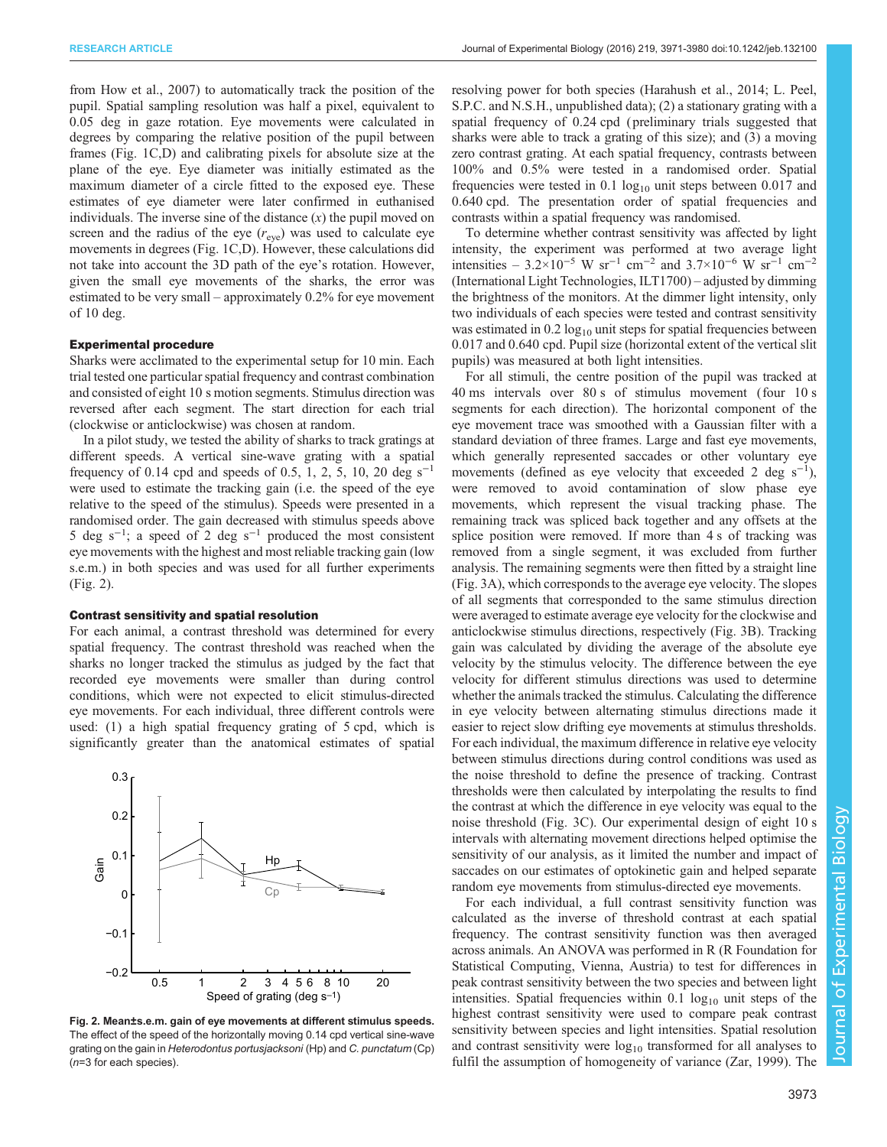from [How et al., 2007](#page-8-0)) to automatically track the position of the pupil. Spatial sampling resolution was half a pixel, equivalent to 0.05 deg in gaze rotation. Eye movements were calculated in degrees by comparing the relative position of the pupil between frames ([Fig. 1C](#page-1-0),D) and calibrating pixels for absolute size at the plane of the eye. Eye diameter was initially estimated as the maximum diameter of a circle fitted to the exposed eye. These estimates of eye diameter were later confirmed in euthanised individuals. The inverse sine of the distance  $(x)$  the pupil moved on screen and the radius of the eye  $(r_{\text{eve}})$  was used to calculate eye movements in degrees [\(Fig. 1](#page-1-0)C,D). However, these calculations did not take into account the 3D path of the eye's rotation. However, given the small eye movements of the sharks, the error was estimated to be very small – approximately 0.2% for eye movement of 10 deg.

#### Experimental procedure

Sharks were acclimated to the experimental setup for 10 min. Each trial tested one particular spatial frequency and contrast combination and consisted of eight 10 s motion segments. Stimulus direction was reversed after each segment. The start direction for each trial (clockwise or anticlockwise) was chosen at random.

In a pilot study, we tested the ability of sharks to track gratings at different speeds. A vertical sine-wave grating with a spatial frequency of 0.14 cpd and speeds of 0.5, 1, 2, 5, 10, 20 deg s<sup>-1</sup> were used to estimate the tracking gain (i.e. the speed of the eye relative to the speed of the stimulus). Speeds were presented in a randomised order. The gain decreased with stimulus speeds above 5 deg s−<sup>1</sup> ; a speed of 2 deg s−<sup>1</sup> produced the most consistent eye movements with the highest and most reliable tracking gain (low s.e.m.) in both species and was used for all further experiments (Fig. 2).

## Contrast sensitivity and spatial resolution

For each animal, a contrast threshold was determined for every spatial frequency. The contrast threshold was reached when the sharks no longer tracked the stimulus as judged by the fact that recorded eye movements were smaller than during control conditions, which were not expected to elicit stimulus-directed eye movements. For each individual, three different controls were used: (1) a high spatial frequency grating of 5 cpd, which is significantly greater than the anatomical estimates of spatial



Fig. 2. Mean±s.e.m. gain of eye movements at different stimulus speeds. The effect of the speed of the horizontally moving 0.14 cpd vertical sine-wave grating on the gain in Heterodontus portusjacksoni (Hp) and C. punctatum (Cp) (n=3 for each species).

resolving power for both species ([Harahush et al., 2014](#page-8-0); L. Peel, S.P.C. and N.S.H., unpublished data); (2) a stationary grating with a spatial frequency of 0.24 cpd ( preliminary trials suggested that sharks were able to track a grating of this size); and (3) a moving zero contrast grating. At each spatial frequency, contrasts between 100% and 0.5% were tested in a randomised order. Spatial frequencies were tested in 0.1  $log_{10}$  unit steps between 0.017 and 0.640 cpd. The presentation order of spatial frequencies and contrasts within a spatial frequency was randomised.

To determine whether contrast sensitivity was affected by light intensity, the experiment was performed at two average light intensities – 3.2×10<sup>-5</sup> W sr<sup>-1</sup> cm<sup>-2</sup> and 3.7×10<sup>-6</sup> W sr<sup>-1</sup> cm<sup>-2</sup> (International Light Technologies, ILT1700) – adjusted by dimming the brightness of the monitors. At the dimmer light intensity, only two individuals of each species were tested and contrast sensitivity was estimated in  $0.2 \log_{10}$  unit steps for spatial frequencies between 0.017 and 0.640 cpd. Pupil size (horizontal extent of the vertical slit pupils) was measured at both light intensities.

For all stimuli, the centre position of the pupil was tracked at 40 ms intervals over 80 s of stimulus movement (four 10 s segments for each direction). The horizontal component of the eye movement trace was smoothed with a Gaussian filter with a standard deviation of three frames. Large and fast eye movements, which generally represented saccades or other voluntary eye movements (defined as eye velocity that exceeded 2 deg s<sup>-1</sup>), were removed to avoid contamination of slow phase eye movements, which represent the visual tracking phase. The remaining track was spliced back together and any offsets at the splice position were removed. If more than 4 s of tracking was removed from a single segment, it was excluded from further analysis. The remaining segments were then fitted by a straight line [\(Fig. 3A](#page-3-0)), which corresponds to the average eye velocity. The slopes of all segments that corresponded to the same stimulus direction were averaged to estimate average eye velocity for the clockwise and anticlockwise stimulus directions, respectively ([Fig. 3](#page-3-0)B). Tracking gain was calculated by dividing the average of the absolute eye velocity by the stimulus velocity. The difference between the eye velocity for different stimulus directions was used to determine whether the animals tracked the stimulus. Calculating the difference in eye velocity between alternating stimulus directions made it easier to reject slow drifting eye movements at stimulus thresholds. For each individual, the maximum difference in relative eye velocity between stimulus directions during control conditions was used as the noise threshold to define the presence of tracking. Contrast thresholds were then calculated by interpolating the results to find the contrast at which the difference in eye velocity was equal to the noise threshold [\(Fig. 3](#page-3-0)C). Our experimental design of eight 10 s intervals with alternating movement directions helped optimise the sensitivity of our analysis, as it limited the number and impact of saccades on our estimates of optokinetic gain and helped separate random eye movements from stimulus-directed eye movements.

For each individual, a full contrast sensitivity function was calculated as the inverse of threshold contrast at each spatial frequency. The contrast sensitivity function was then averaged across animals. An ANOVA was performed in R (R Foundation for Statistical Computing, Vienna, Austria) to test for differences in peak contrast sensitivity between the two species and between light intensities. Spatial frequencies within  $0.1 \log_{10}$  unit steps of the highest contrast sensitivity were used to compare peak contrast sensitivity between species and light intensities. Spatial resolution and contrast sensitivity were  $log_{10}$  transformed for all analyses to fulfil the assumption of homogeneity of variance [\(Zar, 1999](#page-9-0)). The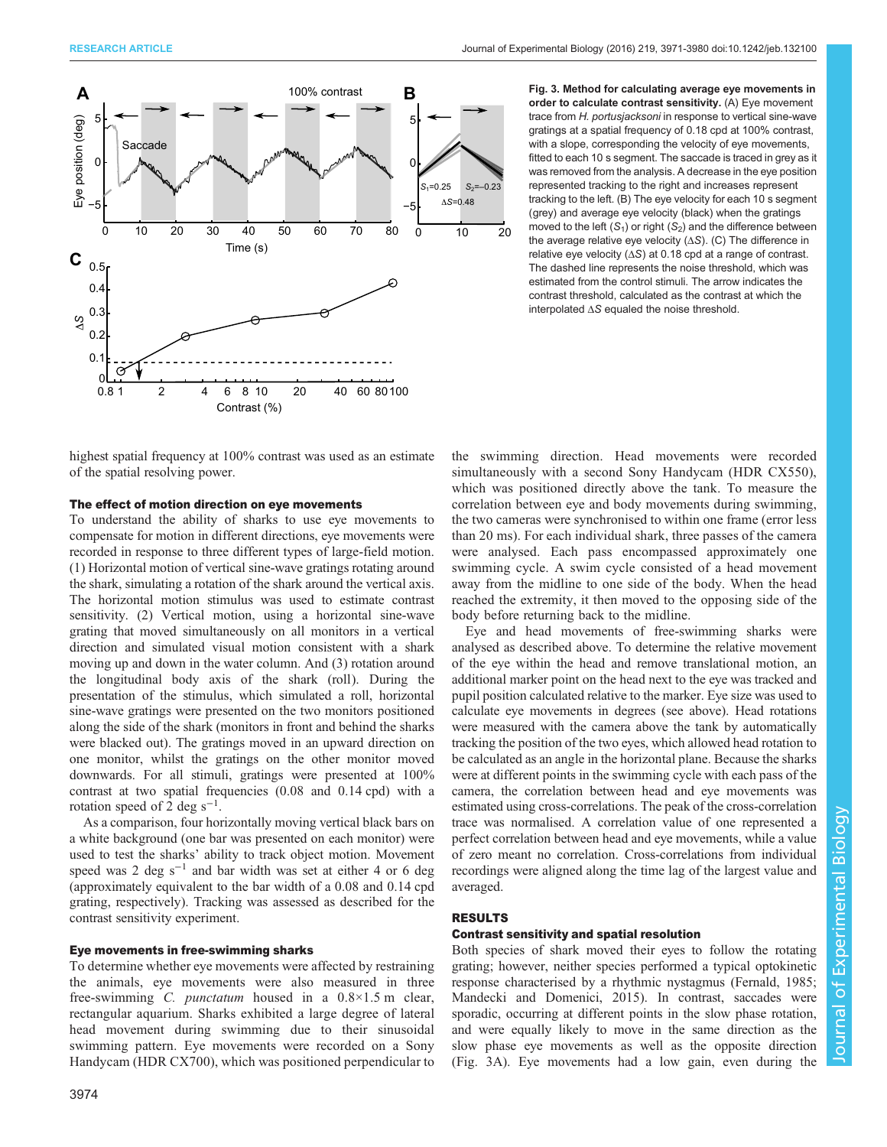<span id="page-3-0"></span>

Fig. 3. Method for calculating average eye movements in order to calculate contrast sensitivity. (A) Eye movement trace from H. portusjacksoni in response to vertical sine-wave gratings at a spatial frequency of 0.18 cpd at 100% contrast, with a slope, corresponding the velocity of eye movements, fitted to each 10 s segment. The saccade is traced in grey as it was removed from the analysis. A decrease in the eye position represented tracking to the right and increases represent tracking to the left. (B) The eye velocity for each 10 s segment (grey) and average eye velocity (black) when the gratings moved to the left  $(S_1)$  or right  $(S_2)$  and the difference between the average relative eye velocity (ΔS). (C) The difference in relative eye velocity (ΔS) at 0.18 cpd at a range of contrast. The dashed line represents the noise threshold, which was estimated from the control stimuli. The arrow indicates the contrast threshold, calculated as the contrast at which the interpolated ΔS equaled the noise threshold.

highest spatial frequency at 100% contrast was used as an estimate of the spatial resolving power.

#### The effect of motion direction on eye movements

To understand the ability of sharks to use eye movements to compensate for motion in different directions, eye movements were recorded in response to three different types of large-field motion. (1) Horizontal motion of vertical sine-wave gratings rotating around the shark, simulating a rotation of the shark around the vertical axis. The horizontal motion stimulus was used to estimate contrast sensitivity. (2) Vertical motion, using a horizontal sine-wave grating that moved simultaneously on all monitors in a vertical direction and simulated visual motion consistent with a shark moving up and down in the water column. And (3) rotation around the longitudinal body axis of the shark (roll). During the presentation of the stimulus, which simulated a roll, horizontal sine-wave gratings were presented on the two monitors positioned along the side of the shark (monitors in front and behind the sharks were blacked out). The gratings moved in an upward direction on one monitor, whilst the gratings on the other monitor moved downwards. For all stimuli, gratings were presented at 100% contrast at two spatial frequencies (0.08 and 0.14 cpd) with a rotation speed of 2 deg  $s^{-1}$ .

As a comparison, four horizontally moving vertical black bars on a white background (one bar was presented on each monitor) were used to test the sharks' ability to track object motion. Movement speed was 2 deg s<sup>-1</sup> and bar width was set at either 4 or 6 deg (approximately equivalent to the bar width of a 0.08 and 0.14 cpd grating, respectively). Tracking was assessed as described for the contrast sensitivity experiment.

#### Eye movements in free-swimming sharks

To determine whether eye movements were affected by restraining the animals, eye movements were also measured in three free-swimming C. punctatum housed in a 0.8×1.5 m clear, rectangular aquarium. Sharks exhibited a large degree of lateral head movement during swimming due to their sinusoidal swimming pattern. Eye movements were recorded on a Sony Handycam (HDR CX700), which was positioned perpendicular to

the swimming direction. Head movements were recorded simultaneously with a second Sony Handycam (HDR CX550), which was positioned directly above the tank. To measure the correlation between eye and body movements during swimming, the two cameras were synchronised to within one frame (error less than 20 ms). For each individual shark, three passes of the camera were analysed. Each pass encompassed approximately one swimming cycle. A swim cycle consisted of a head movement away from the midline to one side of the body. When the head reached the extremity, it then moved to the opposing side of the body before returning back to the midline.

Eye and head movements of free-swimming sharks were analysed as described above. To determine the relative movement of the eye within the head and remove translational motion, an additional marker point on the head next to the eye was tracked and pupil position calculated relative to the marker. Eye size was used to calculate eye movements in degrees (see above). Head rotations were measured with the camera above the tank by automatically tracking the position of the two eyes, which allowed head rotation to be calculated as an angle in the horizontal plane. Because the sharks were at different points in the swimming cycle with each pass of the camera, the correlation between head and eye movements was estimated using cross-correlations. The peak of the cross-correlation trace was normalised. A correlation value of one represented a perfect correlation between head and eye movements, while a value of zero meant no correlation. Cross-correlations from individual recordings were aligned along the time lag of the largest value and averaged.

## RESULTS

# Contrast sensitivity and spatial resolution

Both species of shark moved their eyes to follow the rotating grating; however, neither species performed a typical optokinetic response characterised by a rhythmic nystagmus ([Fernald, 1985](#page-8-0); [Mandecki and Domenici, 2015\)](#page-8-0). In contrast, saccades were sporadic, occurring at different points in the slow phase rotation, and were equally likely to move in the same direction as the slow phase eye movements as well as the opposite direction (Fig. 3A). Eye movements had a low gain, even during the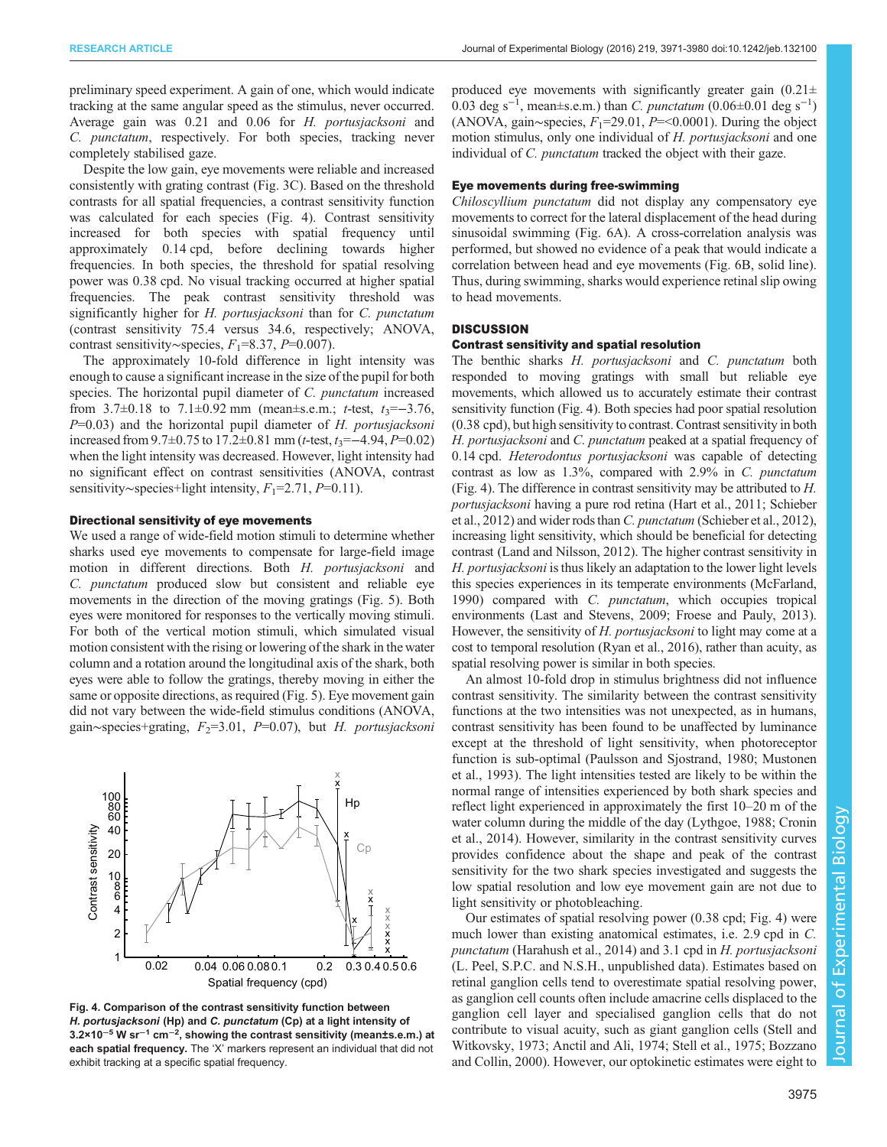preliminary speed experiment. A gain of one, which would indicate tracking at the same angular speed as the stimulus, never occurred. Average gain was 0.21 and 0.06 for H. portusjacksoni and C. punctatum, respectively. For both species, tracking never completely stabilised gaze.

Despite the low gain, eye movements were reliable and increased consistently with grating contrast ([Fig. 3](#page-3-0)C). Based on the threshold contrasts for all spatial frequencies, a contrast sensitivity function was calculated for each species (Fig. 4). Contrast sensitivity increased for both species with spatial frequency until approximately 0.14 cpd, before declining towards higher frequencies. In both species, the threshold for spatial resolving power was 0.38 cpd. No visual tracking occurred at higher spatial frequencies. The peak contrast sensitivity threshold was significantly higher for H. portusjacksoni than for C. punctatum (contrast sensitivity 75.4 versus 34.6, respectively; ANOVA, contrast sensitivity∼species,  $F_1$ =8.37, P=0.007).

The approximately 10-fold difference in light intensity was enough to cause a significant increase in the size of the pupil for both species. The horizontal pupil diameter of C. *punctatum* increased from  $3.7\pm0.18$  to  $7.1\pm0.92$  mm (mean $\pm$ s.e.m.; *t*-test,  $t_3 = -3.76$ ,  $P=0.03$ ) and the horizontal pupil diameter of H. portusjacksoni increased from  $9.7\pm0.75$  to  $17.2\pm0.81$  mm (*t*-test,  $t_3 = -4.94$ ,  $P = 0.02$ ) when the light intensity was decreased. However, light intensity had no significant effect on contrast sensitivities (ANOVA, contrast sensitivity∼species+light intensity,  $F_1$ =2.71, P=0.11).

## Directional sensitivity of eye movements

We used a range of wide-field motion stimuli to determine whether sharks used eye movements to compensate for large-field image motion in different directions. Both H. portusjacksoni and C. punctatum produced slow but consistent and reliable eye movements in the direction of the moving gratings ([Fig. 5\)](#page-5-0). Both eyes were monitored for responses to the vertically moving stimuli. For both of the vertical motion stimuli, which simulated visual motion consistent with the rising or lowering of the shark in the water column and a rotation around the longitudinal axis of the shark, both eyes were able to follow the gratings, thereby moving in either the same or opposite directions, as required ([Fig. 5](#page-5-0)). Eye movement gain did not vary between the wide-field stimulus conditions (ANOVA, gain∼species+grating,  $F_2$ =3.01, P=0.07), but H. portusjacksoni



Fig. 4. Comparison of the contrast sensitivity function between H. portusjacksoni (Hp) and C. punctatum (Cp) at a light intensity of 3.2×10<sup>−5</sup> W sr<sup>−1</sup> cm<sup>−2</sup>, showing the contrast sensitivity (mean±s.e.m.) at each spatial frequency. The 'X' markers represent an individual that did not exhibit tracking at a specific spatial frequency.

produced eye movements with significantly greater gain  $(0.21 \pm$ 0.03 deg s<sup>-1</sup>, mean±s.e.m.) than *C. punctatum* (0.06±0.01 deg s<sup>-1</sup>) (ANOVA, gain~species,  $F_1$ =29.01, P=<0.0001). During the object motion stimulus, only one individual of H. portusjacksoni and one individual of *C. punctatum* tracked the object with their gaze.

#### Eye movements during free-swimming

Chiloscyllium punctatum did not display any compensatory eye movements to correct for the lateral displacement of the head during sinusoidal swimming [\(Fig. 6A](#page-6-0)). A cross-correlation analysis was performed, but showed no evidence of a peak that would indicate a correlation between head and eye movements ([Fig. 6](#page-6-0)B, solid line). Thus, during swimming, sharks would experience retinal slip owing to head movements.

## **DISCUSSION**

#### Contrast sensitivity and spatial resolution

The benthic sharks H. portusjacksoni and C. punctatum both responded to moving gratings with small but reliable eye movements, which allowed us to accurately estimate their contrast sensitivity function (Fig. 4). Both species had poor spatial resolution (0.38 cpd), but high sensitivity to contrast. Contrast sensitivity in both H. portusjacksoni and C. punctatum peaked at a spatial frequency of 0.14 cpd. Heterodontus portusjacksoni was capable of detecting contrast as low as 1.3%, compared with 2.9% in C. punctatum (Fig. 4). The difference in contrast sensitivity may be attributed to H. portusjacksoni having a pure rod retina ([Hart et al., 2011](#page-8-0); [Schieber](#page-8-0) [et al., 2012](#page-8-0)) and wider rods than C. punctatum ([Schieber et al., 2012\)](#page-8-0), increasing light sensitivity, which should be beneficial for detecting contrast ([Land and Nilsson, 2012](#page-8-0)). The higher contrast sensitivity in H. portusjacksoni is thus likely an adaptation to the lower light levels this species experiences in its temperate environments [\(McFarland,](#page-8-0) [1990\)](#page-8-0) compared with C. punctatum, which occupies tropical environments [\(Last and Stevens, 2009](#page-8-0); [Froese and Pauly, 2013\)](#page-8-0). However, the sensitivity of H. portusjacksoni to light may come at a cost to temporal resolution [\(Ryan et al., 2016\)](#page-8-0), rather than acuity, as spatial resolving power is similar in both species.

An almost 10-fold drop in stimulus brightness did not influence contrast sensitivity. The similarity between the contrast sensitivity functions at the two intensities was not unexpected, as in humans, contrast sensitivity has been found to be unaffected by luminance except at the threshold of light sensitivity, when photoreceptor function is sub-optimal [\(Paulsson and Sjostrand, 1980; Mustonen](#page-8-0) [et al., 1993\)](#page-8-0). The light intensities tested are likely to be within the normal range of intensities experienced by both shark species and reflect light experienced in approximately the first 10–20 m of the water column during the middle of the day ([Lythgoe, 1988;](#page-8-0) [Cronin](#page-7-0) [et al., 2014\)](#page-7-0). However, similarity in the contrast sensitivity curves provides confidence about the shape and peak of the contrast sensitivity for the two shark species investigated and suggests the low spatial resolution and low eye movement gain are not due to light sensitivity or photobleaching.

Our estimates of spatial resolving power (0.38 cpd; Fig. 4) were much lower than existing anatomical estimates, i.e. 2.9 cpd in C. punctatum ([Harahush et al., 2014\)](#page-8-0) and 3.1 cpd in H. portusjacksoni (L. Peel, S.P.C. and N.S.H., unpublished data). Estimates based on retinal ganglion cells tend to overestimate spatial resolving power, as ganglion cell counts often include amacrine cells displaced to the ganglion cell layer and specialised ganglion cells that do not contribute to visual acuity, such as giant ganglion cells [\(Stell and](#page-9-0) [Witkovsky, 1973;](#page-9-0) [Anctil and Ali, 1974](#page-7-0); [Stell et al., 1975;](#page-9-0) [Bozzano](#page-7-0) [and Collin, 2000\)](#page-7-0). However, our optokinetic estimates were eight to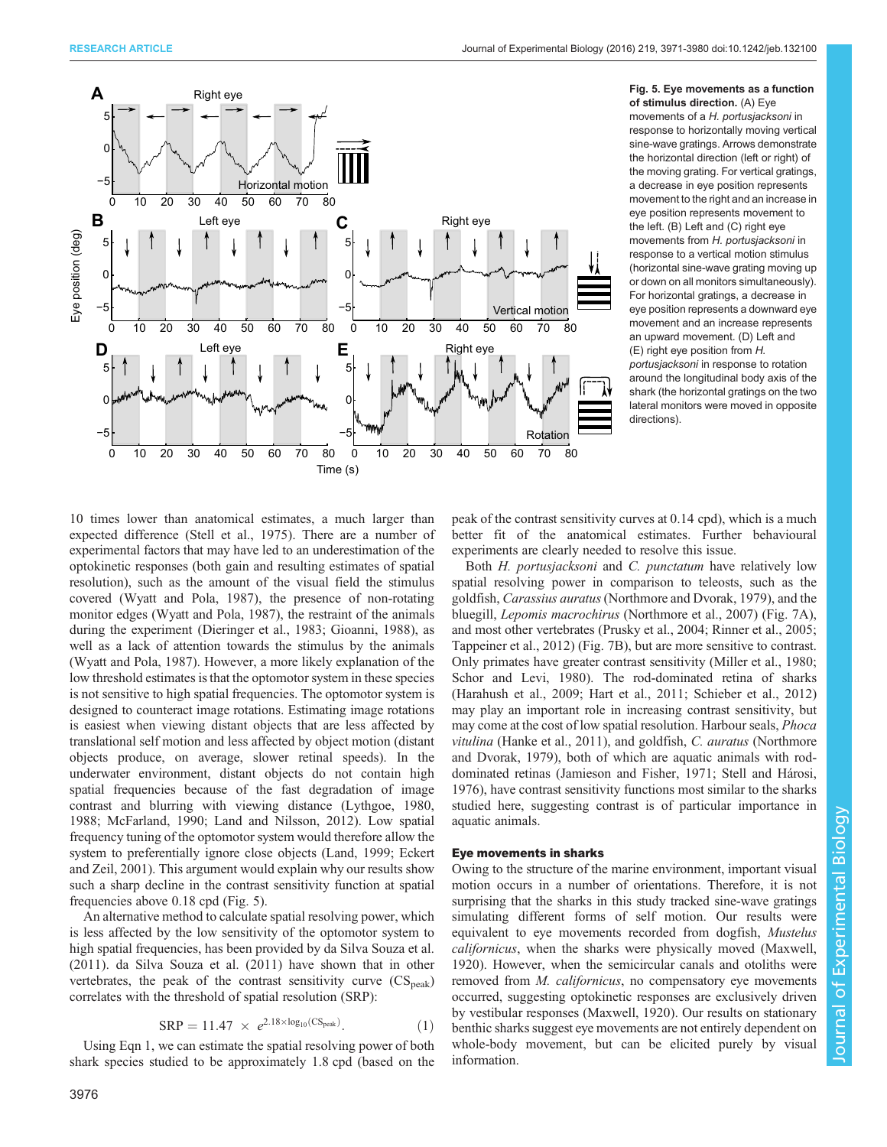<span id="page-5-0"></span>

#### Fig. 5. Eye movements as a function of stimulus direction. (A) Eye

movements of a H. portusjacksoni in response to horizontally moving vertical sine-wave gratings. Arrows demonstrate the horizontal direction (left or right) of the moving grating. For vertical gratings, a decrease in eye position represents movement to the right and an increase in eye position represents movement to the left.  $(B)$  Left and  $(C)$  right eve movements from H. portusjacksoni in response to a vertical motion stimulus (horizontal sine-wave grating moving up or down on all monitors simultaneously). For horizontal gratings, a decrease in eye position represents a downward eye movement and an increase represents an upward movement. (D) Left and (E) right eye position from H. portusjacksoni in response to rotation

around the longitudinal body axis of the shark (the horizontal gratings on the two lateral monitors were moved in opposite directions).

10 times lower than anatomical estimates, a much larger than expected difference [\(Stell et al., 1975\)](#page-9-0). There are a number of experimental factors that may have led to an underestimation of the optokinetic responses (both gain and resulting estimates of spatial resolution), such as the amount of the visual field the stimulus covered ([Wyatt and Pola, 1987](#page-9-0)), the presence of non-rotating monitor edges ([Wyatt and Pola, 1987](#page-9-0)), the restraint of the animals during the experiment ([Dieringer et al., 1983;](#page-7-0) [Gioanni, 1988](#page-8-0)), as well as a lack of attention towards the stimulus by the animals [\(Wyatt and Pola, 1987\)](#page-9-0). However, a more likely explanation of the low threshold estimates is that the optomotor system in these species is not sensitive to high spatial frequencies. The optomotor system is designed to counteract image rotations. Estimating image rotations is easiest when viewing distant objects that are less affected by translational self motion and less affected by object motion (distant objects produce, on average, slower retinal speeds). In the underwater environment, distant objects do not contain high spatial frequencies because of the fast degradation of image contrast and blurring with viewing distance ([Lythgoe, 1980,](#page-8-0) [1988](#page-8-0); [McFarland, 1990; Land and Nilsson, 2012](#page-8-0)). Low spatial frequency tuning of the optomotor system would therefore allow the system to preferentially ignore close objects [\(Land, 1999; Eckert](#page-8-0) [and Zeil, 2001](#page-8-0)). This argument would explain why our results show such a sharp decline in the contrast sensitivity function at spatial frequencies above 0.18 cpd (Fig. 5).

An alternative method to calculate spatial resolving power, which is less affected by the low sensitivity of the optomotor system to high spatial frequencies, has been provided by [da Silva Souza et al.](#page-7-0) [\(2011\)](#page-7-0). [da Silva Souza et al. \(2011\)](#page-7-0) have shown that in other vertebrates, the peak of the contrast sensitivity curve  $(CS_{\text{peak}})$ correlates with the threshold of spatial resolution (SRP):

$$
SRP = 11.47 \times e^{2.18 \times \log_{10}(CS_{peak})}.
$$
 (1)

Using Eqn 1, we can estimate the spatial resolving power of both shark species studied to be approximately 1.8 cpd (based on the

peak of the contrast sensitivity curves at 0.14 cpd), which is a much better fit of the anatomical estimates. Further behavioural experiments are clearly needed to resolve this issue.

Both H. portusjacksoni and C. punctatum have relatively low spatial resolving power in comparison to teleosts, such as the goldfish, Carassius auratus [\(Northmore and Dvorak, 1979\)](#page-8-0), and the bluegill, Lepomis macrochirus ([Northmore et al., 2007](#page-8-0)) [\(Fig. 7A](#page-6-0)), and most other vertebrates [\(Prusky et al., 2004; Rinner et al., 2005](#page-8-0); [Tappeiner et al., 2012\)](#page-9-0) [\(Fig. 7](#page-6-0)B), but are more sensitive to contrast. Only primates have greater contrast sensitivity ([Miller et al., 1980](#page-8-0); [Schor and Levi, 1980\)](#page-8-0). The rod-dominated retina of sharks [\(Harahush et al., 2009](#page-8-0); [Hart et al., 2011; Schieber et al., 2012\)](#page-8-0) may play an important role in increasing contrast sensitivity, but may come at the cost of low spatial resolution. Harbour seals, Phoca vitulina ([Hanke et al., 2011](#page-8-0)), and goldfish, C. auratus ([Northmore](#page-8-0) [and Dvorak, 1979](#page-8-0)), both of which are aquatic animals with roddominated retinas [\(Jamieson and Fisher, 1971;](#page-8-0) [Stell and Hárosi,](#page-9-0) [1976\)](#page-9-0), have contrast sensitivity functions most similar to the sharks studied here, suggesting contrast is of particular importance in aquatic animals.

### Eye movements in sharks

Owing to the structure of the marine environment, important visual motion occurs in a number of orientations. Therefore, it is not surprising that the sharks in this study tracked sine-wave gratings simulating different forms of self motion. Our results were equivalent to eye movements recorded from dogfish, Mustelus californicus, when the sharks were physically moved [\(Maxwell,](#page-8-0) [1920\)](#page-8-0). However, when the semicircular canals and otoliths were removed from M. californicus, no compensatory eye movements occurred, suggesting optokinetic responses are exclusively driven by vestibular responses ([Maxwell, 1920\)](#page-8-0). Our results on stationary benthic sharks suggest eye movements are not entirely dependent on whole-body movement, but can be elicited purely by visual information.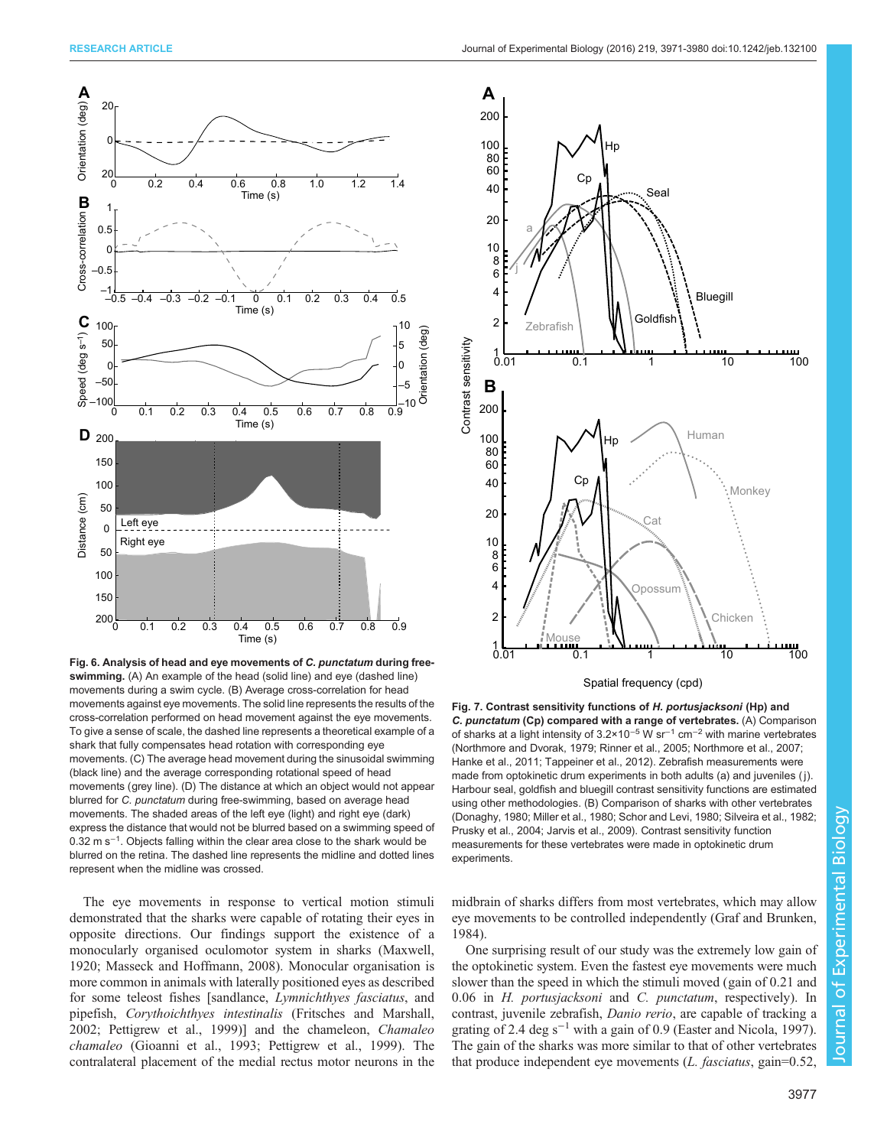<span id="page-6-0"></span>

Fig. 6. Analysis of head and eye movements of C. punctatum during freeswimming. (A) An example of the head (solid line) and eye (dashed line) movements during a swim cycle. (B) Average cross-correlation for head movements against eye movements. The solid line represents the results of the cross-correlation performed on head movement against the eye movements. To give a sense of scale, the dashed line represents a theoretical example of a shark that fully compensates head rotation with corresponding eye movements. (C) The average head movement during the sinusoidal swimming (black line) and the average corresponding rotational speed of head movements (grey line). (D) The distance at which an object would not appear blurred for C. punctatum during free-swimming, based on average head movements. The shaded areas of the left eye (light) and right eye (dark) express the distance that would not be blurred based on a swimming speed of 0.32 m s<sup>-1</sup>. Objects falling within the clear area close to the shark would be blurred on the retina. The dashed line represents the midline and dotted lines represent when the midline was crossed.

The eye movements in response to vertical motion stimuli demonstrated that the sharks were capable of rotating their eyes in opposite directions. Our findings support the existence of a monocularly organised oculomotor system in sharks [\(Maxwell,](#page-8-0) [1920](#page-8-0); [Masseck and Hoffmann, 2008](#page-8-0)). Monocular organisation is more common in animals with laterally positioned eyes as described for some teleost fishes [sandlance, Lymnichthyes fasciatus, and pipefish, Corythoichthyes intestinalis [\(Fritsches and Marshall,](#page-8-0) [2002](#page-8-0); [Pettigrew et al., 1999](#page-8-0))] and the chameleon, Chamaleo chamaleo [\(Gioanni et al., 1993](#page-8-0); [Pettigrew et al., 1999](#page-8-0)). The contralateral placement of the medial rectus motor neurons in the



Spatial frequency (cpd)

Fig. 7. Contrast sensitivity functions of H. portusjacksoni (Hp) and C. punctatum (Cp) compared with a range of vertebrates. (A) Comparison of sharks at a light intensity of 3.2×10−<sup>5</sup> W sr−<sup>1</sup> cm−<sup>2</sup> with marine vertebrates [\(Northmore and Dvorak, 1979; Rinner et al., 2005; Northmore et al., 2007;](#page-8-0) [Hanke et al., 2011](#page-8-0); [Tappeiner et al., 2012\)](#page-9-0). Zebrafish measurements were made from optokinetic drum experiments in both adults (a) and juveniles ( j). Harbour seal, goldfish and bluegill contrast sensitivity functions are estimated using other methodologies. (B) Comparison of sharks with other vertebrates [\(Donaghy, 1980](#page-8-0); [Miller et al., 1980](#page-8-0); [Schor and Levi, 1980](#page-8-0); [Silveira et al., 1982;](#page-9-0) [Prusky et al., 2004; Jarvis et al., 2009](#page-8-0)). Contrast sensitivity function measurements for these vertebrates were made in optokinetic drum experiments.

midbrain of sharks differs from most vertebrates, which may allow eye movements to be controlled independently ([Graf and Brunken,](#page-8-0) [1984\)](#page-8-0).

One surprising result of our study was the extremely low gain of the optokinetic system. Even the fastest eye movements were much slower than the speed in which the stimuli moved (gain of 0.21 and 0.06 in H. portusjacksoni and C. punctatum, respectively). In contrast, juvenile zebrafish, Danio rerio, are capable of tracking a grating of 2.4 deg s<sup>-1</sup> with a gain of 0.9 [\(Easter and Nicola, 1997\)](#page-8-0). The gain of the sharks was more similar to that of other vertebrates that produce independent eye movements (L. fasciatus, gain=0.52,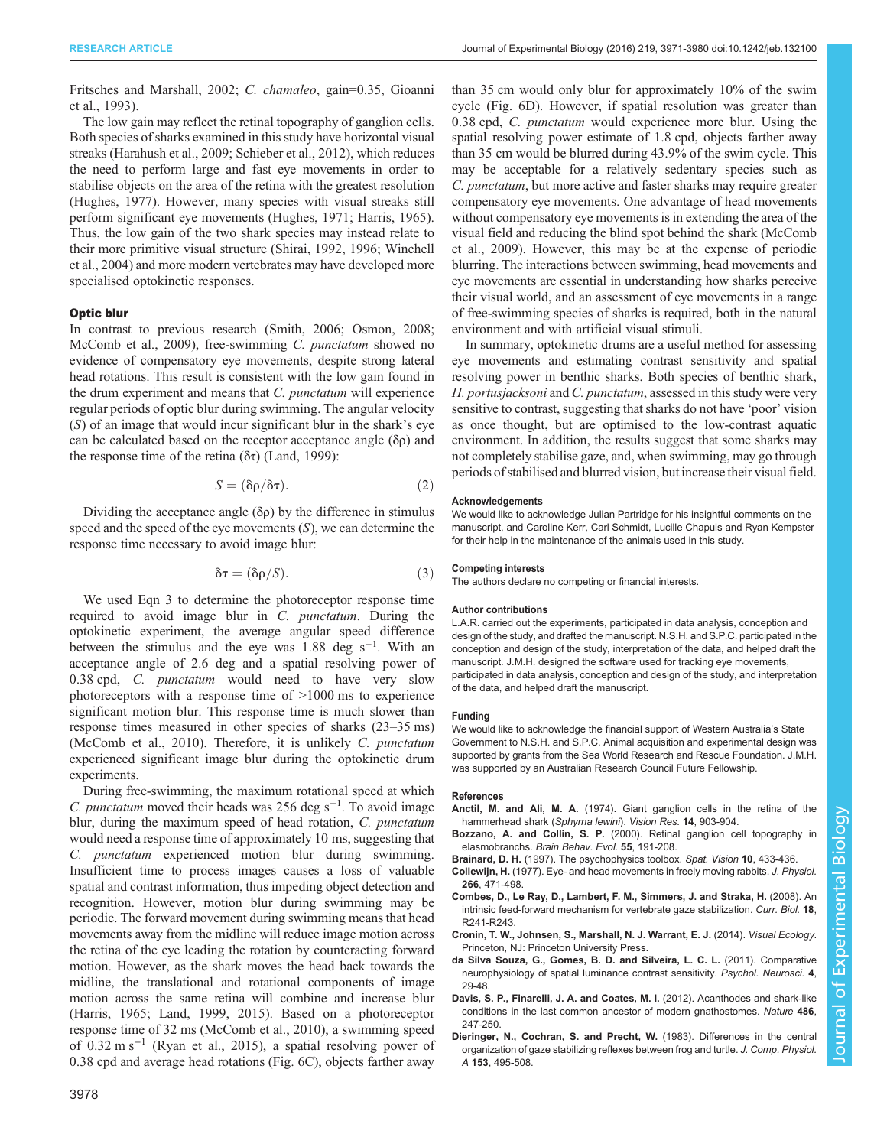<span id="page-7-0"></span>[Fritsches and Marshall, 2002](#page-8-0); C. chamaleo, gain=0.35, [Gioanni](#page-8-0) [et al., 1993\)](#page-8-0).

The low gain may reflect the retinal topography of ganglion cells. Both species of sharks examined in this study have horizontal visual streaks ([Harahush et al., 2009](#page-8-0); [Schieber et al., 2012\)](#page-8-0), which reduces the need to perform large and fast eye movements in order to stabilise objects on the area of the retina with the greatest resolution [\(Hughes, 1977](#page-8-0)). However, many species with visual streaks still perform significant eye movements [\(Hughes, 1971](#page-8-0); [Harris, 1965\)](#page-8-0). Thus, the low gain of the two shark species may instead relate to their more primitive visual structure ([Shirai, 1992](#page-9-0), [1996](#page-9-0); [Winchell](#page-9-0) [et al., 2004\)](#page-9-0) and more modern vertebrates may have developed more specialised optokinetic responses.

#### Optic blur

In contrast to previous research ([Smith, 2006](#page-9-0); [Osmon, 2008](#page-8-0); [McComb et al., 2009](#page-8-0)), free-swimming C. punctatum showed no evidence of compensatory eye movements, despite strong lateral head rotations. This result is consistent with the low gain found in the drum experiment and means that C. punctatum will experience regular periods of optic blur during swimming. The angular velocity (S) of an image that would incur significant blur in the shark's eye can be calculated based on the receptor acceptance angle (δρ) and the response time of the retina (δτ) [\(Land, 1999\)](#page-8-0):

$$
S = (\delta \rho / \delta \tau). \tag{2}
$$

Dividing the acceptance angle  $(\delta \rho)$  by the difference in stimulus speed and the speed of the eye movements  $(S)$ , we can determine the response time necessary to avoid image blur:

$$
\delta \tau = (\delta \rho / S). \tag{3}
$$

We used Eqn 3 to determine the photoreceptor response time required to avoid image blur in C. punctatum. During the optokinetic experiment, the average angular speed difference between the stimulus and the eye was 1.88 deg s<sup>-1</sup>. With an acceptance angle of 2.6 deg and a spatial resolving power of 0.38 cpd, *C. punctatum* would need to have very slow photoreceptors with a response time of >1000 ms to experience significant motion blur. This response time is much slower than response times measured in other species of sharks (23–35 ms) [\(McComb et al., 2010\)](#page-8-0). Therefore, it is unlikely C. punctatum experienced significant image blur during the optokinetic drum experiments.

During free-swimming, the maximum rotational speed at which C. punctatum moved their heads was 256 deg s<sup>-1</sup>. To avoid image blur, during the maximum speed of head rotation, C. punctatum would need a response time of approximately 10 ms, suggesting that C. punctatum experienced motion blur during swimming. Insufficient time to process images causes a loss of valuable spatial and contrast information, thus impeding object detection and recognition. However, motion blur during swimming may be periodic. The forward movement during swimming means that head movements away from the midline will reduce image motion across the retina of the eye leading the rotation by counteracting forward motion. However, as the shark moves the head back towards the midline, the translational and rotational components of image motion across the same retina will combine and increase blur [\(Harris, 1965](#page-8-0); [Land, 1999](#page-8-0), [2015](#page-8-0)). Based on a photoreceptor response time of 32 ms [\(McComb et al., 2010\)](#page-8-0), a swimming speed of 0.32 m s−<sup>1</sup> [\(Ryan et al., 2015\)](#page-8-0), a spatial resolving power of 0.38 cpd and average head rotations [\(Fig. 6](#page-6-0)C), objects farther away

than 35 cm would only blur for approximately 10% of the swim cycle [\(Fig. 6D](#page-6-0)). However, if spatial resolution was greater than 0.38 cpd, C. *punctatum* would experience more blur. Using the spatial resolving power estimate of 1.8 cpd, objects farther away than 35 cm would be blurred during 43.9% of the swim cycle. This may be acceptable for a relatively sedentary species such as C. punctatum, but more active and faster sharks may require greater compensatory eye movements. One advantage of head movements without compensatory eye movements is in extending the area of the visual field and reducing the blind spot behind the shark [\(McComb](#page-8-0) [et al., 2009\)](#page-8-0). However, this may be at the expense of periodic blurring. The interactions between swimming, head movements and eye movements are essential in understanding how sharks perceive their visual world, and an assessment of eye movements in a range of free-swimming species of sharks is required, both in the natural environment and with artificial visual stimuli.

In summary, optokinetic drums are a useful method for assessing eye movements and estimating contrast sensitivity and spatial resolving power in benthic sharks. Both species of benthic shark, H. portusjacksoni and C. punctatum, assessed in this study were very sensitive to contrast, suggesting that sharks do not have 'poor' vision as once thought, but are optimised to the low-contrast aquatic environment. In addition, the results suggest that some sharks may not completely stabilise gaze, and, when swimming, may go through periods of stabilised and blurred vision, but increase their visual field.

#### Acknowledgements

We would like to acknowledge Julian Partridge for his insightful comments on the manuscript, and Caroline Kerr, Carl Schmidt, Lucille Chapuis and Ryan Kempster for their help in the maintenance of the animals used in this study.

#### Competing interests

The authors declare no competing or financial interests.

#### Author contributions

L.A.R. carried out the experiments, participated in data analysis, conception and design of the study, and drafted the manuscript. N.S.H. and S.P.C. participated in the conception and design of the study, interpretation of the data, and helped draft the manuscript. J.M.H. designed the software used for tracking eye movements, participated in data analysis, conception and design of the study, and interpretation of the data, and helped draft the manuscript.

#### Funding

We would like to acknowledge the financial support of Western Australia's State Government to N.S.H. and S.P.C. Animal acquisition and experimental design was supported by grants from the Sea World Research and Rescue Foundation. J.M.H. was supported by an Australian Research Council Future Fellowship.

#### References

- Anctil, M. and Ali, M. A. [\(1974\). Giant ganglion cells in the retina of the](http://dx.doi.org/10.1016/0042-6989(74)90154-0) [hammerhead shark \(](http://dx.doi.org/10.1016/0042-6989(74)90154-0)Sphyrna lewini). Vision Res. 14, 903-904.
- Bozzano, A. and Collin, S. P. [\(2000\). Retinal ganglion cell topography in](http://dx.doi.org/10.1159/000006652) elasmobranchs. [Brain Behav. Evol.](http://dx.doi.org/10.1159/000006652) 55, 191-208.
- Brainard, D. H. [\(1997\). The psychophysics toolbox.](http://dx.doi.org/10.1163/156856897X00357) Spat. Vision 10, 433-436.
- Collewijn, H. [\(1977\). Eye- and head movements in freely moving rabbits.](http://dx.doi.org/10.1113/jphysiol.1977.sp011778) J. Physiol. 266[, 471-498.](http://dx.doi.org/10.1113/jphysiol.1977.sp011778)
- [Combes, D., Le Ray, D., Lambert, F. M., Simmers, J. and Straka, H.](http://dx.doi.org/10.1016/j.cub.2008.02.018) (2008). An [intrinsic feed-forward mechanism for vertebrate gaze stabilization.](http://dx.doi.org/10.1016/j.cub.2008.02.018) Curr. Biol. 18, [R241-R243.](http://dx.doi.org/10.1016/j.cub.2008.02.018)
- Cronin, T. W., Johnsen, S., Marshall, N. J. Warrant, E. J. (2014). Visual Ecology. Princeton, NJ: Princeton University Press.
- [da Silva Souza, G., Gomes, B. D. and Silveira, L. C. L.](http://dx.doi.org/10.3922/j.psns.2011.1.005) (2011). Comparative [neurophysiology of spatial luminance contrast sensitivity.](http://dx.doi.org/10.3922/j.psns.2011.1.005) Psychol. Neurosci. 4, [29-48.](http://dx.doi.org/10.3922/j.psns.2011.1.005)
- [Davis, S. P., Finarelli, J. A. and Coates, M. I.](http://dx.doi.org/10.1038/nature11080) (2012). Acanthodes and shark-like [conditions in the last common ancestor of modern gnathostomes.](http://dx.doi.org/10.1038/nature11080) Nature 486, [247-250.](http://dx.doi.org/10.1038/nature11080)
- [Dieringer, N., Cochran, S. and Precht, W.](http://dx.doi.org/10.1007/BF00612604) (1983). Differences in the central [organization of gaze stabilizing reflexes between frog and turtle.](http://dx.doi.org/10.1007/BF00612604) J. Comp. Physiol. A 153[, 495-508.](http://dx.doi.org/10.1007/BF00612604)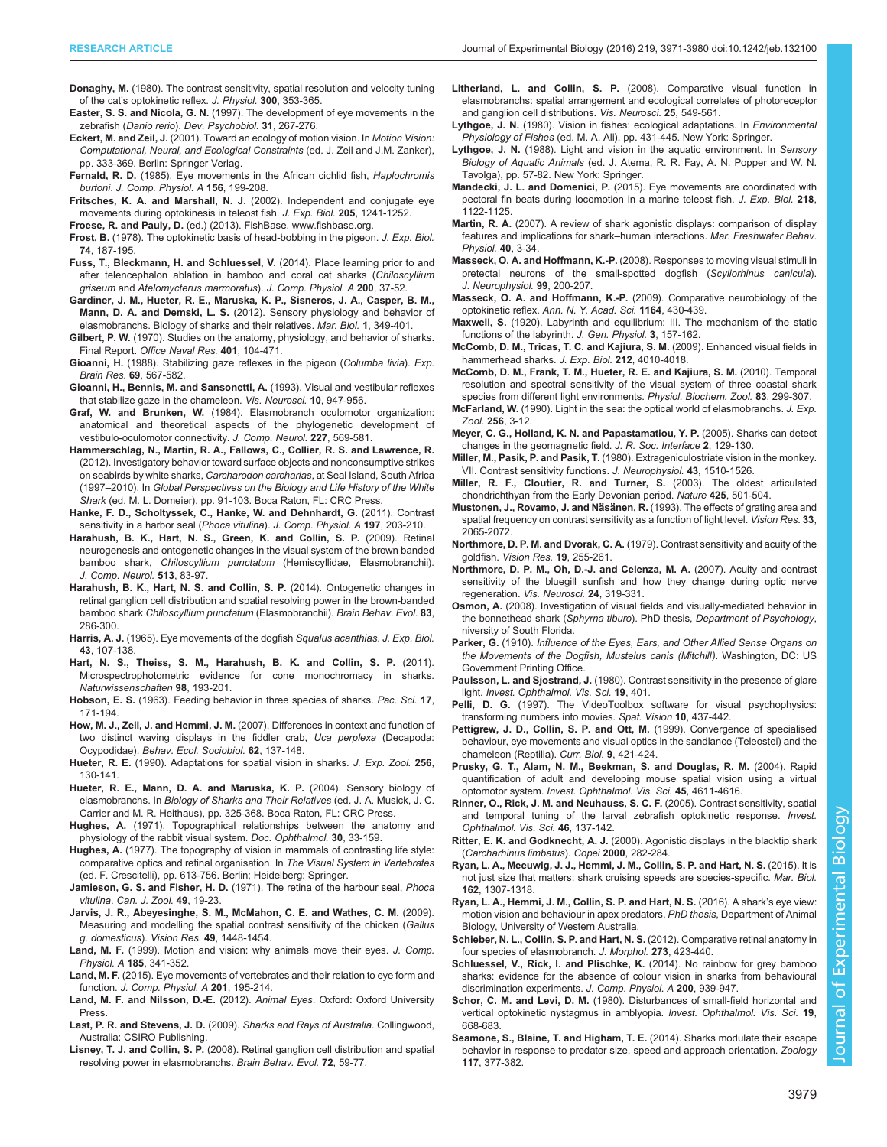- <span id="page-8-0"></span>Donaghy, M. [\(1980\). The contrast sensitivity, spatial resolution and velocity tuning](http://dx.doi.org/10.1113/jphysiol.1980.sp013166) of the cat'[s optokinetic reflex.](http://dx.doi.org/10.1113/jphysiol.1980.sp013166) J. Physiol. 300, 353-365.
- Easter, S. S. and Nicola, G. N. [\(1997\). The development of eye movements in the](http://dx.doi.org/10.1002/(SICI)1098-2302(199712)31:4%3C267::AID-DEV4%3D3.0.CO;2-P) zebrafish (Danio rerio). [Dev. Psychobiol.](http://dx.doi.org/10.1002/(SICI)1098-2302(199712)31:4%3C267::AID-DEV4%3D3.0.CO;2-P) 31, 267-276.
- Eckert, M. and Zeil, J. (2001). Toward an ecology of motion vision. In Motion Vision: Computational, Neural, and Ecological Constraints (ed. J. Zeil and J.M. Zanker), pp. 333-369. Berlin: Springer Verlag.
- Fernald, R. D. [\(1985\). Eye movements in the African cichlid fish,](http://dx.doi.org/10.1007/BF00610862) Haplochromis burtoni. [J. Comp. Physiol. A](http://dx.doi.org/10.1007/BF00610862) 156, 199-208.
- Fritsches, K. A. and Marshall, N. J. (2002). Independent and conjugate eye movements during optokinesis in teleost fish. J. Exp. Biol. 205, 1241-1252.
- Froese, R. and Pauly, D. (ed.) (2013). FishBase. [www.fishbase.org](http://www.fishbase.org).
- Frost, B. (1978). The optokinetic basis of head-bobbing in the pigeon. J. Exp. Biol. 74, 187-195.
- [Fuss, T., Bleckmann, H. and Schluessel, V.](http://dx.doi.org/10.1007/s00359-013-0859-x) (2014). Place learning prior to and [after telencephalon ablation in bamboo and coral cat sharks \(](http://dx.doi.org/10.1007/s00359-013-0859-x)Chiloscyllium griseum and [Atelomycterus marmoratus](http://dx.doi.org/10.1007/s00359-013-0859-x)). J. Comp. Physiol. A 200, 37-52.
- [Gardiner, J. M., Hueter, R. E., Maruska, K. P., Sisneros, J. A., Casper, B. M.,](http://dx.doi.org/10.1201/b11867-15) Mann, D. A. and Demski, L. S. [\(2012\). Sensory physiology and behavior of](http://dx.doi.org/10.1201/b11867-15) [elasmobranchs. Biology of sharks and their relatives.](http://dx.doi.org/10.1201/b11867-15) Mar. Biol. 1, 349-401.
- Gilbert, P. W. (1970). Studies on the anatomy, physiology, and behavior of sharks. Final Report. Office Naval Res. 401, 104-471.
- Gioanni, H. [\(1988\). Stabilizing gaze reflexes in the pigeon \(](http://dx.doi.org/10.1007/BF00247310)Columba livia). Exp. [Brain Res.](http://dx.doi.org/10.1007/BF00247310) 69, 567-582.
- [Gioanni, H., Bennis, M. and Sansonetti, A.](http://dx.doi.org/10.1017/S0952523800006167) (1993). Visual and vestibular reflexes [that stabilize gaze in the chameleon.](http://dx.doi.org/10.1017/S0952523800006167) Vis. Neurosci. 10, 947-956.
- Graf, W. and Brunken, W. [\(1984\). Elasmobranch oculomotor organization:](http://dx.doi.org/10.1002/cne.902270408) [anatomical and theoretical aspects of the phylogenetic development of](http://dx.doi.org/10.1002/cne.902270408) [vestibulo-oculomotor connectivity.](http://dx.doi.org/10.1002/cne.902270408) J. Comp. Neurol. 227, 569-581.
- Hammerschlag, N., Martin, R. A., Fallows, C., Collier, R. S. and Lawrence, R. (2012). Investigatory behavior toward surface objects and nonconsumptive strikes on seabirds by white sharks, Carcharodon carcharias, at Seal Island, South Africa (1997–2010). In Global Perspectives on the Biology and Life History of the White Shark (ed. M. L. Domeier), pp. 91-103. Boca Raton, FL: CRC Press.
- [Hanke, F. D., Scholtyssek, C., Hanke, W. and Dehnhardt, G.](http://dx.doi.org/10.1007/s00359-010-0600-y) (2011). Contrast [sensitivity in a harbor seal \(](http://dx.doi.org/10.1007/s00359-010-0600-y)Phoca vitulina). J. Comp. Physiol. A 197, 203-210.
- [Harahush, B. K., Hart, N. S., Green, K. and Collin, S. P.](http://dx.doi.org/10.1002/cne.21953) (2009). Retinal [neurogenesis and ontogenetic changes in the visual system of the brown banded](http://dx.doi.org/10.1002/cne.21953) bamboo shark, Chiloscyllium punctatum [\(Hemiscyllidae, Elasmobranchii\).](http://dx.doi.org/10.1002/cne.21953) [J. Comp. Neurol.](http://dx.doi.org/10.1002/cne.21953) 513, 83-97.
- [Harahush, B. K., Hart, N. S. and Collin, S. P.](http://dx.doi.org/10.1159/000361036) (2014). Ontogenetic changes in [retinal ganglion cell distribution and spatial resolving power in the brown-banded](http://dx.doi.org/10.1159/000361036) bamboo shark [Chiloscyllium punctatum](http://dx.doi.org/10.1159/000361036) (Elasmobranchii). Brain Behav. Evol. 83, [286-300.](http://dx.doi.org/10.1159/000361036)
- Harris, A. J. (1965). Eye movements of the dogfish Squalus acanthias. J. Exp. Biol. 43, 107-138.
- [Hart, N. S., Theiss, S. M., Harahush, B. K. and Collin, S. P.](http://dx.doi.org/10.1007/s00114-010-0758-8) (2011). [Microspectrophotometric evidence for cone monochromacy in sharks.](http://dx.doi.org/10.1007/s00114-010-0758-8) [Naturwissenschaften](http://dx.doi.org/10.1007/s00114-010-0758-8) 98, 193-201.
- Hobson, E. S. (1963). Feeding behavior in three species of sharks. Pac. Sci. 17, 171-194.
- How, M. J., Zeil, J. and Hemmi, J. M. [\(2007\). Differences in context and function of](http://dx.doi.org/10.1007/s00265-007-0448-5) [two distinct waving displays in the fiddler crab,](http://dx.doi.org/10.1007/s00265-007-0448-5) Uca perplexa (Decapoda: Ocypodidae). [Behav. Ecol. Sociobiol.](http://dx.doi.org/10.1007/s00265-007-0448-5) 62, 137-148.
- Hueter, R. E. [\(1990\). Adaptations for spatial vision in sharks.](http://dx.doi.org/10.1002/jez.1402560518) J. Exp. Zool. 256, [130-141.](http://dx.doi.org/10.1002/jez.1402560518)
- Hueter, R. E., Mann, D. A. and Maruska, K. P. (2004). Sensory biology of elasmobranchs. In Biology of Sharks and Their Relatives (ed. J. A. Musick, J. C. Carrier and M. R. Heithaus), pp. 325-368. Boca Raton, FL: CRC Press.
- Hughes, A. [\(1971\). Topographical relationships between the anatomy and](http://dx.doi.org/10.1007/BF00142518) [physiology of the rabbit visual system.](http://dx.doi.org/10.1007/BF00142518) Doc. Ophthalmol. 30, 33-159.
- Hughes, A. (1977). The topography of vision in mammals of contrasting life style: comparative optics and retinal organisation. In The Visual System in Vertebrates (ed. F. Crescitelli), pp. 613-756. Berlin; Heidelberg: Springer.
- Jamieson, G. S. and Fisher, H. D. [\(1971\). The retina of the harbour seal,](http://dx.doi.org/10.1139/z71-005) Phoca vitulina. [Can. J. Zool.](http://dx.doi.org/10.1139/z71-005) 49, 19-23.
- [Jarvis, J. R., Abeyesinghe, S. M., McMahon, C. E. and Wathes, C. M.](http://dx.doi.org/10.1016/j.visres.2009.02.019) (2009). [Measuring and modelling the spatial contrast sensitivity of the chicken \(](http://dx.doi.org/10.1016/j.visres.2009.02.019)Gallus [g. domesticus](http://dx.doi.org/10.1016/j.visres.2009.02.019)). Vision Res. 49, 1448-1454.
- Land, M. F. [\(1999\). Motion and vision: why animals move their eyes.](http://dx.doi.org/10.1007/s003590050393) J. Comp. Physiol. A 185[, 341-352.](http://dx.doi.org/10.1007/s003590050393)
- Land, M. F. [\(2015\). Eye movements of vertebrates and their relation to eye form and](http://dx.doi.org/10.1007/s00359-014-0964-5) function. [J. Comp. Physiol. A](http://dx.doi.org/10.1007/s00359-014-0964-5) 201, 195-214.
- Land, M. F. and Nilsson, D.-E. (2012). Animal Eyes. Oxford: Oxford University Press.
- Last, P. R. and Stevens, J. D. (2009). Sharks and Rays of Australia. Collingwood, Australia: CSIRO Publishing.
- Lisney, T. J. and Collin, S. P. [\(2008\). Retinal ganglion cell distribution and spatial](http://dx.doi.org/10.1159/000146082) [resolving power in elasmobranchs.](http://dx.doi.org/10.1159/000146082) Brain Behav. Evol. 72, 59-77.
- Litherland, L. and Collin, S. P. [\(2008\). Comparative visual function in](http://dx.doi.org/10.1017/S0952523808080693) [elasmobranchs: spatial arrangement and ecological correlates of photoreceptor](http://dx.doi.org/10.1017/S0952523808080693) [and ganglion cell distributions.](http://dx.doi.org/10.1017/S0952523808080693) Vis. Neurosci. 25, 549-561.
- Lythgoe, J. N. (1980). Vision in fishes: ecological adaptations. In Environmental Physiology of Fishes (ed. M. A. Ali), pp. 431-445. New York: Springer.
- Lythgoe, J. N. (1988). Light and vision in the aquatic environment. In Sensory Biology of Aquatic Animals (ed. J. Atema, R. R. Fay, A. N. Popper and W. N. Tavolga), pp. 57-82. New York: Springer.
- Mandecki, J. L. and Domenici, P. [\(2015\). Eye movements are coordinated with](http://dx.doi.org/10.1242/jeb.116756) [pectoral fin beats during locomotion in a marine teleost fish.](http://dx.doi.org/10.1242/jeb.116756) J. Exp. Biol. 218, [1122-1125.](http://dx.doi.org/10.1242/jeb.116756)
- Martin, R. A. [\(2007\). A review of shark agonistic displays: comparison of display](http://dx.doi.org/10.1080/10236240601154872) [features and implications for shark](http://dx.doi.org/10.1080/10236240601154872)–human interactions. Mar. Freshwater Behav. [Physiol.](http://dx.doi.org/10.1080/10236240601154872) 40, 3-34.
- Masseck, O. A. and Hoffmann, K.-P. [\(2008\). Responses to moving visual stimuli in](http://dx.doi.org/10.1152/jn.00926.2007) [pretectal neurons of the small-spotted dogfish \(](http://dx.doi.org/10.1152/jn.00926.2007)Scyliorhinus canicula). [J. Neurophysiol.](http://dx.doi.org/10.1152/jn.00926.2007) 99, 200-207.
- Masseck, O. A. and Hoffmann, K.-P. [\(2009\). Comparative neurobiology of the](http://dx.doi.org/10.1111/j.1749-6632.2009.03854.x) optokinetic reflex. [Ann. N. Y. Acad. Sci.](http://dx.doi.org/10.1111/j.1749-6632.2009.03854.x) 1164, 430-439.
- Maxwell, S. [\(1920\). Labyrinth and equilibrium: III. The mechanism of the static](http://dx.doi.org/10.1085/jgp.3.2.157) [functions of the labyrinth.](http://dx.doi.org/10.1085/jgp.3.2.157) J. Gen. Physiol. 3, 157-162.
- [McComb, D. M., Tricas, T. C. and Kajiura, S. M.](http://dx.doi.org/10.1242/jeb.032615) (2009). Enhanced visual fields in [hammerhead sharks.](http://dx.doi.org/10.1242/jeb.032615) J. Exp. Biol. 212, 4010-4018.
- [McComb, D. M., Frank, T. M., Hueter, R. E. and Kajiura, S. M.](http://dx.doi.org/10.1086/648394) (2010). Temporal [resolution and spectral sensitivity of the visual system of three coastal shark](http://dx.doi.org/10.1086/648394) [species from different light environments.](http://dx.doi.org/10.1086/648394) Physiol. Biochem. Zool. 83, 299-307.
- McFarland, W. [\(1990\). Light in the sea: the optical world of elasmobranchs.](http://dx.doi.org/10.1002/jez.1402560503) J. Exp. Zool. 256[, 3-12.](http://dx.doi.org/10.1002/jez.1402560503)
- [Meyer, C. G., Holland, K. N. and Papastamatiou, Y. P.](http://dx.doi.org/10.1098/rsif.2004.0021) (2005). Sharks can detect [changes in the geomagnetic field.](http://dx.doi.org/10.1098/rsif.2004.0021) J. R. Soc. Interface 2, 129-130.
- Miller, M., Pasik, P. and Pasik, T. (1980). Extrageniculostriate vision in the monkey. VII. Contrast sensitivity functions. J. Neurophysiol. 43, 1510-1526.
- [Miller, R. F., Cloutier, R. and Turner, S.](http://dx.doi.org/10.1038/nature02001) (2003). The oldest articulated [chondrichthyan from the Early Devonian period.](http://dx.doi.org/10.1038/nature02001) Nature 425, 501-504.
- Mustonen, J., Rovamo, J. and Näsänen, R. [\(1993\). The effects of grating area and](http://dx.doi.org/10.1016/0042-6989(93)90005-H) [spatial frequency on contrast sensitivity as a function of light level.](http://dx.doi.org/10.1016/0042-6989(93)90005-H) Vision Res. 33, [2065-2072.](http://dx.doi.org/10.1016/0042-6989(93)90005-H)
- Northmore, D. P. M. and Dvorak, C. A. [\(1979\). Contrast sensitivity and acuity of the](http://dx.doi.org/10.1016/0042-6989(79)90171-8) goldfish. [Vision Res.](http://dx.doi.org/10.1016/0042-6989(79)90171-8) 19, 255-261.
- [Northmore, D. P. M., Oh, D.-J. and Celenza, M. A.](http://dx.doi.org/10.1017/S0952523807070307) (2007). Acuity and contrast [sensitivity of the bluegill sunfish and how they change during optic nerve](http://dx.doi.org/10.1017/S0952523807070307) regeneration. [Vis. Neurosci.](http://dx.doi.org/10.1017/S0952523807070307) 24, 319-331.
- Osmon, A. (2008). Investigation of visual fields and visually-mediated behavior in the bonnethead shark (Sphyrna tiburo). PhD thesis, Department of Psychology, niversity of South Florida.
- Parker, G. (1910). Influence of the Eyes, Ears, and Other Allied Sense Organs on the Movements of the Dogfish, Mustelus canis (Mitchill). Washington, DC: US Government Printing Office.
- Paulsson, L. and Sjostrand, J. (1980). Contrast sensitivity in the presence of glare light. *Invest. Ophthalmol. Vis. Sci.* 19, 401.
- Pelli, D. G. [\(1997\). The VideoToolbox software for visual psychophysics:](http://dx.doi.org/10.1163/156856897X00366) [transforming numbers into movies.](http://dx.doi.org/10.1163/156856897X00366) Spat. Vision 10, 437-442.
- [Pettigrew, J. D., Collin, S. P. and Ott, M.](http://dx.doi.org/10.1016/S0960-9822(99)80189-4) (1999). Convergence of specialised [behaviour, eye movements and visual optics in the sandlance \(Teleostei\) and the](http://dx.doi.org/10.1016/S0960-9822(99)80189-4) [chameleon \(Reptilia\).](http://dx.doi.org/10.1016/S0960-9822(99)80189-4) Curr. Biol. 9, 421-424.
- [Prusky, G. T., Alam, N. M., Beekman, S. and Douglas, R. M.](http://dx.doi.org/10.1167/iovs.04-0541) (2004). Rapid [quantification of adult and developing mouse spatial vision using a virtual](http://dx.doi.org/10.1167/iovs.04-0541) optomotor system. [Invest. Ophthalmol. Vis. Sci.](http://dx.doi.org/10.1167/iovs.04-0541) 45, 4611-4616.
- [Rinner, O., Rick, J. M. and Neuhauss, S. C. F.](http://dx.doi.org/10.1167/iovs.04-0682) (2005). Contrast sensitivity, spatial [and temporal tuning of the larval zebrafish optokinetic response.](http://dx.doi.org/10.1167/iovs.04-0682) Invest. [Ophthalmol. Vis. Sci.](http://dx.doi.org/10.1167/iovs.04-0682) 46, 137-142.
- Ritter, E. K. and Godknecht, A. J. [\(2000\). Agonistic displays in the blacktip shark](http://dx.doi.org/10.1643/0045-8511(2000)2000[0282:ADITBS]2.0.CO;2) ([Carcharhinus limbatus](http://dx.doi.org/10.1643/0045-8511(2000)2000[0282:ADITBS]2.0.CO;2)). Copei 2000, 282-284.
- [Ryan, L. A., Meeuwig, J. J., Hemmi, J. M., Collin, S. P. and Hart, N. S.](http://dx.doi.org/10.1007/s00227-015-2670-4) (2015). It is [not just size that matters: shark cruising speeds are species-specific.](http://dx.doi.org/10.1007/s00227-015-2670-4) Mar. Biol. 162[, 1307-1318.](http://dx.doi.org/10.1007/s00227-015-2670-4)
- Ryan, L. A., Hemmi, J. M., Collin, S. P. and Hart, N. S. (2016). A shark's eye view: motion vision and behaviour in apex predators. PhD thesis, Department of Animal Biology, University of Western Australia.
- [Schieber, N. L., Collin, S. P. and Hart, N. S.](http://dx.doi.org/10.1002/jmor.11033) (2012). Comparative retinal anatomy in [four species of elasmobranch.](http://dx.doi.org/10.1002/jmor.11033) J. Morphol. 273, 423-440.
- [Schluessel, V., Rick, I. and Plischke, K.](http://dx.doi.org/10.1007/s00359-014-0940-0) (2014). No rainbow for grey bamboo [sharks: evidence for the absence of colour vision in sharks from behavioural](http://dx.doi.org/10.1007/s00359-014-0940-0) [discrimination experiments.](http://dx.doi.org/10.1007/s00359-014-0940-0) J. Comp. Physiol. A 200, 939-947.
- Schor, C. M. and Levi, D. M. (1980). Disturbances of small-field horizontal and vertical optokinetic nystagmus in amblyopia. Invest. Ophthalmol. Vis. Sci. 19, 668-683.
- [Seamone, S., Blaine, T. and Higham, T. E.](http://dx.doi.org/10.1016/j.zool.2014.06.002) (2014). Sharks modulate their escape [behavior in response to predator size, speed and approach orientation.](http://dx.doi.org/10.1016/j.zool.2014.06.002) Zoology 117[, 377-382.](http://dx.doi.org/10.1016/j.zool.2014.06.002)